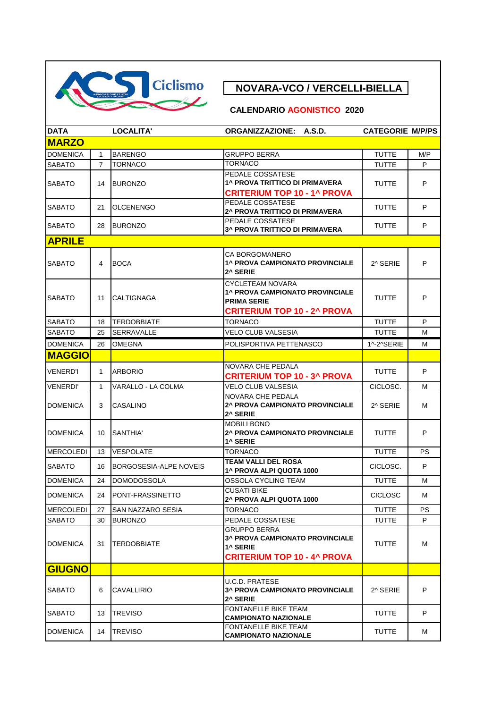

## **CALENDARIO AGONISTICO 2020**

| <b>DATA</b>      |                | LOCALITA'                | ORGANIZZAZIONE: A.S.D.                                                                                          | <b>CATEGORIE M/P/PS</b> |           |
|------------------|----------------|--------------------------|-----------------------------------------------------------------------------------------------------------------|-------------------------|-----------|
| <b>MARZO</b>     |                |                          |                                                                                                                 |                         |           |
| <b>DOMENICA</b>  | 1              | <b>BARENGO</b>           | <b>GRUPPO BERRA</b>                                                                                             | <b>TUTTE</b>            | M/P       |
| <b>SABATO</b>    | $\overline{7}$ | <b>TORNACO</b>           | <b>TORNACO</b>                                                                                                  | TUTTE                   | P         |
| <b>SABATO</b>    | 14             | <b>BURONZO</b>           | PEDALE COSSATESE<br>1^ PROVA TRITTICO DI PRIMAVERA<br><b>CRITERIUM TOP 10 - 1^ PROVA</b>                        | <b>TUTTE</b>            | P         |
| <b>SABATO</b>    | 21             | <b>OLCENENGO</b>         | PEDALE COSSATESE<br>2^ PROVA TRITTICO DI PRIMAVERA                                                              | TUTTE                   | P         |
| <b>SABATO</b>    | 28             | <b>BURONZO</b>           | PEDALE COSSATESE<br><b>3^ PROVA TRITTICO DI PRIMAVERA</b>                                                       | <b>TUTTE</b>            | P         |
| <b>APRILE</b>    |                |                          |                                                                                                                 |                         |           |
| <b>SABATO</b>    | 4              | <b>BOCA</b>              | CA BORGOMANERO<br>1^ PROVA CAMPIONATO PROVINCIALE<br>2^ SERIE                                                   | 2^ SERIE                | P         |
| <b>SABATO</b>    | 11             | <b>CALTIGNAGA</b>        | CYCLETEAM NOVARA<br>1^ PROVA CAMPIONATO PROVINCIALE<br><b>PRIMA SERIE</b><br><b>CRITERIUM TOP 10 - 2^ PROVA</b> | <b>TUTTE</b>            | P         |
| <b>SABATO</b>    | 18             | <b>TERDOBBIATE</b>       | <b>TORNACO</b>                                                                                                  | <b>TUTTE</b>            | P         |
| <b>SABATO</b>    | 25             | <b>SERRAVALLE</b>        | <b>VELO CLUB VALSESIA</b>                                                                                       | <b>TUTTE</b>            | M         |
| <b>DOMENICA</b>  | 26             | <b>OMEGNA</b>            | POLISPORTIVA PETTENASCO                                                                                         | 1^-2^SERIE              | м         |
| <b>MAGGIO</b>    |                |                          |                                                                                                                 |                         |           |
| <b>VENERD'I</b>  | $\mathbf{1}$   | <b>ARBORIO</b>           | NOVARA CHE PEDALA<br><b>CRITERIUM TOP 10 - 3^ PROVA</b>                                                         | <b>TUTTE</b>            | P         |
| <b>VENERDI'</b>  | $\mathbf{1}$   | VARALLO - LA COLMA       | <b>VELO CLUB VALSESIA</b>                                                                                       | CICLOSC.                | М         |
| <b>DOMENICA</b>  | 3              | CASALINO                 | NOVARA CHE PEDALA<br>2^ PROVA CAMPIONATO PROVINCIALE<br>2^ SERIE                                                | 2^ SERIE                | Μ         |
| <b>DOMENICA</b>  | 10             | SANTHIA'                 | <b>MOBILI BONO</b><br>2^ PROVA CAMPIONATO PROVINCIALE<br>1^ SERIE                                               | <b>TUTTE</b>            | P         |
| <b>MERCOLEDI</b> | 13             | <b>VESPOLATE</b>         | <b>TORNACO</b>                                                                                                  | <b>TUTTE</b>            | <b>PS</b> |
| <b>SABATO</b>    | 16             | BORGOSESIA-ALPE NOVEIS   | <b>TEAM VALLI DEL ROSA</b><br>1^ PROVA ALPI QUOTA 1000                                                          | CICLOSC.                | P         |
| <b>DOMENICA</b>  | 24             | <b>DOMODOSSOLA</b>       | OSSOLA CYCLING TEAM                                                                                             | <b>TUTTE</b>            | м         |
| <b>DOMENICA</b>  | 24             | PONT-FRASSINETTO         | <b>CUSATI BIKE</b><br>2^ PROVA ALPI QUOTA 1000                                                                  | <b>CICLOSC</b>          | Μ         |
| <b>MERCOLEDI</b> | 27             | <b>SAN NAZZARO SESIA</b> | <b>TORNACO</b>                                                                                                  | <b>TUTTE</b>            | <b>PS</b> |
| <b>SABATO</b>    | 30             | <b>BURONZO</b>           | PEDALE COSSATESE                                                                                                | <b>TUTTE</b>            | P         |
| <b>DOMENICA</b>  | 31             | <b>TERDOBBIATE</b>       | GRUPPO BERRA<br>3^ PROVA CAMPIONATO PROVINCIALE<br>1^ SERIE<br><b>CRITERIUM TOP 10 - 4^ PROVA</b>               | <b>TUTTE</b>            | М         |
| <b>GIUGNO</b>    |                |                          |                                                                                                                 |                         |           |
| <b>SABATO</b>    | 6              | CAVALLIRIO               | U.C.D. PRATESE<br><b>3^ PROVA CAMPIONATO PROVINCIALE</b><br>2^ SERIE                                            | 2^ SERIE                | P         |
| <b>SABATO</b>    | 13             | <b>TREVISO</b>           | <b>FONTANELLE BIKE TEAM</b><br><b>CAMPIONATO NAZIONALE</b>                                                      | TUTTE                   | P         |
| <b>DOMENICA</b>  | 14             | <b>TREVISO</b>           | FONTANELLE BIKE TEAM<br><b>CAMPIONATO NAZIONALE</b>                                                             | TUTTE                   | м         |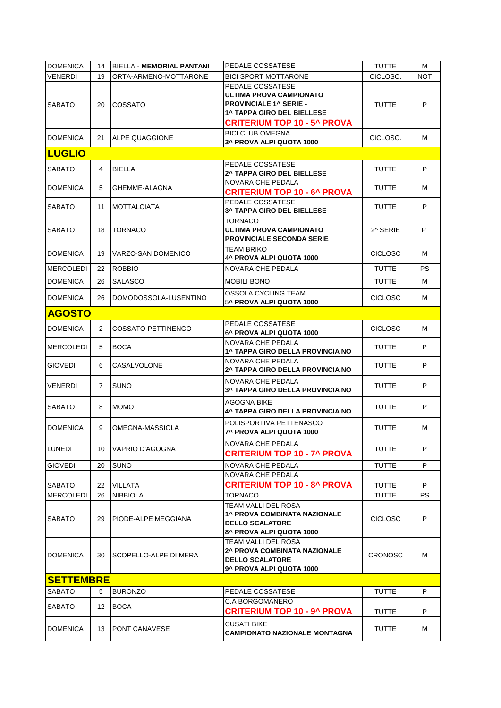| <b>DOMENICA</b>  | 14             | BIELLA - MEMORIAL PANTANI    | PEDALE COSSATESE                                                                                                                                        | <b>TUTTE</b>   | м          |
|------------------|----------------|------------------------------|---------------------------------------------------------------------------------------------------------------------------------------------------------|----------------|------------|
| <b>VENERDI</b>   | 19             | ORTA-ARMENO-MOTTARONE        | <b>BICI SPORT MOTTARONE</b>                                                                                                                             | CICLOSC.       | <b>NOT</b> |
| <b>SABATO</b>    | 20             | COSSATO                      | PEDALE COSSATESE<br>ULTIMA PROVA CAMPIONATO<br><b>PROVINCIALE 1^ SERIE -</b><br><b>1^ TAPPA GIRO DEL BIELLESE</b><br><b>CRITERIUM TOP 10 - 5^ PROVA</b> | <b>TUTTE</b>   | P          |
| <b>DOMENICA</b>  | 21             | ALPE QUAGGIONE               | <b>BICI CLUB OMEGNA</b><br>3^ PROVA ALPI QUOTA 1000                                                                                                     | CICLOSC.       | м          |
| <b>LUGLIO</b>    |                |                              |                                                                                                                                                         |                |            |
| <b>SABATO</b>    | 4              | <b>BIELLA</b>                | PEDALE COSSATESE<br><b>2^ TAPPA GIRO DEL BIELLESE</b>                                                                                                   | <b>TUTTE</b>   | P          |
| <b>DOMENICA</b>  | 5              | GHEMME-ALAGNA                | NOVARA CHE PEDALA<br><b>CRITERIUM TOP 10 - 6^ PROVA</b>                                                                                                 | <b>TUTTE</b>   | м          |
| <b>SABATO</b>    | 11             | <b>MOTTALCIATA</b>           | PEDALE COSSATESE<br>3^ TAPPA GIRO DEL BIELLESE                                                                                                          | <b>TUTTE</b>   | P          |
| <b>SABATO</b>    | 18             | <b>TORNACO</b>               | TORNACO<br>ULTIMA PROVA CAMPIONATO<br><b>PROVINCIALE SECONDA SERIE</b>                                                                                  | 2^ SERIE       | P          |
| <b>DOMENICA</b>  | 19             | VARZO-SAN DOMENICO           | TEAM BRIKO<br>4^ PROVA ALPI QUOTA 1000                                                                                                                  | <b>CICLOSC</b> | м          |
| <b>MERCOLEDI</b> | 22             | <b>ROBBIO</b>                | NOVARA CHE PEDALA                                                                                                                                       | <b>TUTTE</b>   | PS.        |
| <b>DOMENICA</b>  | 26             | <b>SALASCO</b>               | <b>MOBILI BONO</b>                                                                                                                                      | <b>TUTTE</b>   | м          |
| <b>DOMENICA</b>  | 26             | DOMODOSSOLA-LUSENTINO        | OSSOLA CYCLING TEAM<br>5^ PROVA ALPI QUOTA 1000                                                                                                         | <b>CICLOSC</b> | М          |
| <b>AGOSTO</b>    |                |                              |                                                                                                                                                         |                |            |
| <b>DOMENICA</b>  | 2              | COSSATO-PETTINENGO           | PEDALE COSSATESE<br>6^ PROVA ALPI QUOTA 1000                                                                                                            | <b>CICLOSC</b> | м          |
| <b>MERCOLEDI</b> | 5              | <b>BOCA</b>                  | NOVARA CHE PEDALA<br><b>1^ TAPPA GIRO DELLA PROVINCIA NO</b>                                                                                            | <b>TUTTE</b>   | P          |
| <b>GIOVEDI</b>   | 6              | CASALVOLONE                  | NOVARA CHE PEDALA<br>2^ TAPPA GIRO DELLA PROVINCIA NO                                                                                                   | <b>TUTTE</b>   | P          |
| <b>VENERDI</b>   | $\overline{7}$ | <b>SUNO</b>                  | NOVARA CHE PEDALA<br>3^ TAPPA GIRO DELLA PROVINCIA NO                                                                                                   | <b>TUTTE</b>   | P          |
| <b>SABATO</b>    | 8              | <b>MOMO</b>                  | AGOGNA BIKE<br>4^ TAPPA GIRO DELLA PROVINCIA NO                                                                                                         | <b>TUTTE</b>   | P          |
| <b>DOMENICA</b>  | 9              | OMEGNA-MASSIOLA              | POLISPORTIVA PETTENASCO<br>7^ PROVA ALPI QUOTA 1000                                                                                                     | <b>TUTTE</b>   | м          |
| LUNEDI           | 10             | VAPRIO D'AGOGNA              | NOVARA CHE PEDALA<br><b>CRITERIUM TOP 10 - 7^ PROVA</b>                                                                                                 | <b>TUTTE</b>   | P          |
| <b>GIOVEDI</b>   | 20             | <b>SUNO</b>                  | NOVARA CHE PEDALA                                                                                                                                       | <b>TUTTE</b>   | P          |
| <b>SABATO</b>    | 22             | VILLATA                      | NOVARA CHE PEDALA<br><b>CRITERIUM TOP 10 - 8^ PROVA</b>                                                                                                 | <b>TUTTE</b>   | P          |
| <b>MERCOLEDI</b> | 26             | <b>NIBBIOLA</b>              | <b>TORNACO</b>                                                                                                                                          | <b>TUTTE</b>   | PS.        |
| <b>SABATO</b>    | 29             | <b>PIODE-ALPE MEGGIANA</b>   | TEAM VALLI DEL ROSA<br><b>1^ PROVA COMBINATA NAZIONALE</b><br><b>DELLO SCALATORE</b><br>8^ PROVA ALPI QUOTA 1000                                        | <b>CICLOSC</b> | P          |
| <b>DOMENICA</b>  | 30             | <b>SCOPELLO-ALPE DI MERA</b> | TEAM VALLI DEL ROSA<br>2^ PROVA COMBINATA NAZIONALE<br><b>DELLO SCALATORE</b><br>9^ PROVA ALPI QUOTA 1000                                               | <b>CRONOSC</b> | м          |
| <b>SETTEMBRE</b> |                |                              |                                                                                                                                                         |                |            |
| <b>SABATO</b>    | 5              | <b>BURONZO</b>               | PEDALE COSSATESE                                                                                                                                        | <b>TUTTE</b>   | P          |
| <b>SABATO</b>    | 12             | <b>BOCA</b>                  | C.A BORGOMANERO<br><b>CRITERIUM TOP 10 - 9^ PROVA</b>                                                                                                   | TUTTE          | P          |
| <b>DOMENICA</b>  | 13             | <b>PONT CANAVESE</b>         | <b>CUSATI BIKE</b><br>CAMPIONATO NAZIONALE MONTAGNA                                                                                                     | TUTTE          | м          |